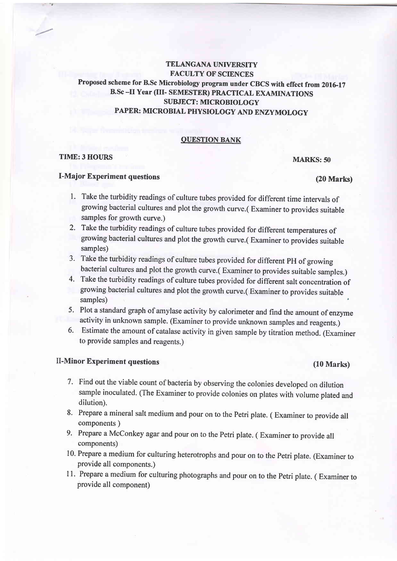# TELANGANA UNIVERSITY **FACULTY OF SCIENCES** Proposed scheme for B.Sc Microbiology program under CBCS with effect from 2016-17 B.sc -II Year (III- SEMESTER) pRAcrIcAL EXAMINATTONS SUBJECT: MICROBIOLOGY PAPER: MICROBIAL PHYSIOLOGY AND ENZYMOLOGY

## OUESTION BANK

## TIME:3 HOURS

## I-Major Experiment questions

## MARKS: 50

- (20 Marks)
- l. Take the turbidity readings of culture tubes provided for different time intervals of growing bacterial cultures and plot the growth curve.( Examiner to provides suitable samples for growth curve.)
- 2. Take the turbidity readings of culture tubes provided for different temperatures of growing bacterial cultures and plot the growth curve.( Examiner to provides suitable samples)
- 3- Take the turbidity readings of culture tubes provided for different pH of growing bacterial cultures and plot the growth curve.( Examiner to provides suitable samples.)
- 4. Take the turbidity readings of culture tubes provided for different salt concentration of growing bacterial cultures and plot the growth curve.( Examiner to provides suitable samples) '
- 5. Plot a standard graph of amylase activity by calorimeter and find the amount of enzyme activity in unknown sample. (Examiner to provide unknown samples and reagents.)
- 6. Estimate the amount of catalase activity in given sample by titration method. (Examiner to provide samples and reagents.)

# II-Minor Experiment questions (10 Marks)

- 7. Find out the viable count of bacteria by observing the colonies developed on dilution sample inoculated. (The Examiner to provide colonies on plates with volume plated and dilution).
- 8. Prepare a mineral salt medium and pour on to the Petri plate. ( Examiner to provide all components )
- 9. Prepare a McConkey agar and pour on to the Petri plate. ( Examiner to provide all components)
- 10. Prepare a medium for culturing heterotrophs and pour on to the Petri plate. (Examiner to provide all components.)
- <sup>I</sup>l. Prepare a medium for culturing photographs and pour on to the Petri plate. ( Examiner to provide all component)